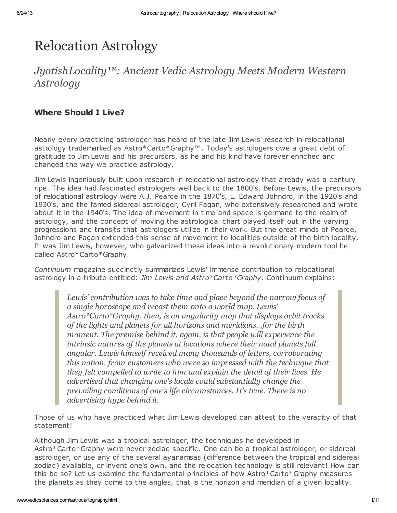# Relocation Astrology

## *JyotishLocality™: Ancient Vedic Astrology Meets Modern Western Astrology*

#### Where Should I Live?

Nearly every practicing astrologer has heard of the late Jim Lewis' research in relocational astrology trademarked as Astro\*Carto\*Graphy™. Today's astrologers owe a great debt of gratitude to Jim Lewis and his precursors, as he and his kind have forever enriched and changed the way we practice astrology.

Jim Lewis ingeniously built upon research in relocational astrology that already was a century ripe. The idea had fascinated astrologers well back to the 1800's. Before Lewis, the precursors of relocational astrology were A.J. Pearce in the 1870's, L. Edward Johndro, in the 1920's and 1930's, and the famed sidereal astrologer, Cyril Fagan, who extensively researched and wrote about it in the 1940's. The idea of movement in time and space is germane to the realm of astrology, and the concept of moving the astrological chart played itself out in the varying progressions and transits that astrologers utilize in their work. But the great minds of Pearce, Johndro and Fagan extended this sense of movement to localities outside of the birth locality. It was Jim Lewis, however, who galvanized these ideas into a revolutionary modern tool he called Astro\*Carto\*Graphy.

Continuum magazine succinctly summarizes Lewis' immense contribution to relocational astrology in a tribute entitled: Jim Lewis and Astro\*Carto\*Graphy. Continuum explains:

> *Lewis' contribution was to take time and place beyond the narrow focus of a single horoscope and recast them onto a world map. Lewis' Astro\*Carto\*Graphy, then, is an angularity map that displays orbit tracks of the lights and planets for all horizons and meridians...for the birth moment. The premise behind it, again, is that people will experience the intrinsic natures of the planets at locations where their natal planets fall angular. Lewis himself received many thousands of letters, corroborating this notion, from customers who were so impressed with the technique that they felt compelled to write to him and explain the detail of their lives. He advertised that changing one's locale could substantially change the prevailing conditions of one's life circumstances. It's true. There is no advertising hype behind it.*

Those of us who have practiced what Jim Lewis developed can attest to the veracity of that statement!

Although Jim Lewis was a tropical astrologer, the techniques he developed in Astro\*Carto\*Graphy were never zodiac specific. One can be a tropical astrologer, or sidereal astrologer, or use any of the several ayanamsas (difference between the tropical and sidereal zodiac) available, or invent one's own, and the relocation technology is still relevant! How can this be so? Let us examine the fundamental principles of how Astro\*Carto\*Graphy measures the planets as they come to the angles, that is the horizon and meridian of a given locality.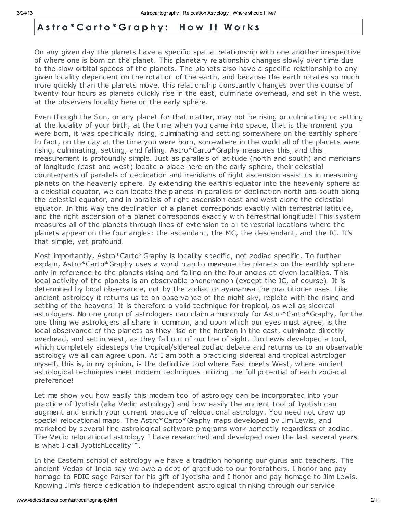#### Astro\*Carto\*Graphy: How It Works

On any given day the planets have a specific spatial relationship with one another irrespective of where one is born on the planet. This planetary relationship changes slowly over time due to the slow orbital speeds of the planets. The planets also have a specific relationship to any given locality dependent on the rotation of the earth, and because the earth rotates so much more quickly than the planets move, this relationship constantly changes over the course of twenty four hours as planets quickly rise in the east, culminate overhead, and set in the west, at the observers locality here on the early sphere.

Even though the Sun, or any planet for that matter, may not be rising or culminating or setting at the locality of your birth, at the time when you came into space, that is the moment you were born, it was specifically rising, culminating and setting somewhere on the earthly sphere! In fact, on the day at the time you were born, somewhere in the world all of the planets were rising, culminating, setting, and falling. Astro\*Carto\*Graphy measures this, and this measurement is profoundly simple. Just as parallels of latitude (north and south) and meridians of longitude (east and west) locate a place here on the early sphere, their celestial counterparts of parallels of declination and meridians of right ascension assist us in measuring planets on the heavenly sphere. By extending the earth's equator into the heavenly sphere as a celestial equator, we can locate the planets in parallels of declination north and south along the celestial equator, and in parallels of right ascension east and west along the celestial equator. In this way the declination of a planet corresponds exactly with terrestrial latitude, and the right ascension of a planet corresponds exactly with terrestrial longitude! This system measures all of the planets through lines of extension to all terrestrial locations where the planets appear on the four angles: the ascendant, the MC, the descendant, and the IC. It's that simple, yet profound.

Most importantly, Astro\*Carto\*Graphy is locality specific, not zodiac specific. To further explain, Astro\*Carto\*Graphy uses a world map to measure the planets on the earthly sphere only in reference to the planets rising and falling on the four angles at given localities. This local activity of the planets is an observable phenomenon (except the IC, of course). It is determined by local observance, not by the zodiac or ayanamsa the practitioner uses. Like ancient astrology it returns us to an observance of the night sky, replete with the rising and setting of the heavens! It is therefore a valid technique for tropical, as well as sidereal astrologers. No one group of astrologers can claim a monopoly for Astro\*Carto\*Graphy, for the one thing we astrologers all share in common, and upon which our eyes must agree, is the local observance of the planets as they rise on the horizon in the east, culminate directly overhead, and set in west, as they fall out of our line of sight. Jim Lewis developed a tool, which completely sidesteps the tropical/sidereal zodiac debate and returns us to an observable astrology we all can agree upon. As I am both a practicing sidereal and tropical astrologer myself, this is, in my opinion, is the definitive tool where East meets West, where ancient astrological techniques meet modern techniques utilizing the full potential of each zodiacal preference!

Let me show you how easily this modern tool of astrology can be incorporated into your practice of Jyotish (aka Vedic astrology) and how easily the ancient tool of Jyotish can augment and enrich your current practice of relocational astrology. You need not draw up special relocational maps. The Astro\*Carto\*Graphy maps developed by Jim Lewis, and marketed by several fine astrological software programs work perfectly regardless of zodiac. The Vedic relocational astrology I have researched and developed over the last several years is what I call JyotishLocality™.

In the Eastern school of astrology we have a tradition honoring our gurus and teachers. The ancient Vedas of India say we owe a debt of gratitude to our forefathers. I honor and pay homage to FDIC sage Parser for his gift of Jyotisha and I honor and pay homage to Jim Lewis. Knowing Jim's fierce dedication to independent astrological thinking through our service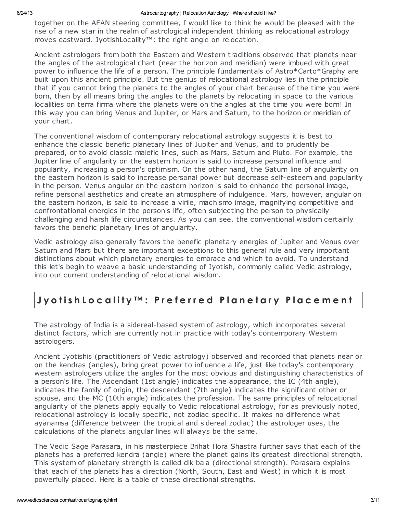together on the AFAN steering committee, I would like to think he would be pleased with the rise of a new star in the realm of astrological independent thinking as relocational astrology moves eastward. JyotishLocality™: the right angle on relocation.

Ancient astrologers from both the Eastern and Western traditions observed that planets near the angles of the astrological chart (near the horizon and meridian) were imbued with great power to influence the life of a person. The principle fundamentals of Astro\*Carto\*Graphy are built upon this ancient principle. But the genius of relocational astrology lies in the principle that if you cannot bring the planets to the angles of your chart because of the time you were born, then by all means bring the angles to the planets by relocating in space to the various localities on terra firma where the planets were on the angles at the time you were born! In this way you can bring Venus and Jupiter, or Mars and Saturn, to the horizon or meridian of your chart.

The conventional wisdom of contemporary relocational astrology suggests it is best to enhance the classic benefic planetary lines of Jupiter and Venus, and to prudently be prepared, or to avoid classic malefic lines, such as Mars, Saturn and Pluto. For example, the Jupiter line of angularity on the eastern horizon is said to increase personal influence and popularity, increasing a person's optimism. On the other hand, the Saturn line of angularity on the eastern horizon is said to increase personal power but decrease self-esteem and popularity in the person. Venus angular on the eastern horizon is said to enhance the personal image, refine personal aesthetics and create an atmosphere of indulgence. Mars, however, angular on the eastern horizon, is said to increase a virile, machismo image, magnifying competitive and confrontational energies in the person's life, often subjecting the person to physically challenging and harsh life circumstances. As you can see, the conventional wisdom certainly favors the benefic planetary lines of angularity.

Vedic astrology also generally favors the benefic planetary energies of Jupiter and Venus over Saturn and Mars but there are important exceptions to this general rule and very important distinctions about which planetary energies to embrace and which to avoid. To understand this let's begin to weave a basic understanding of Jyotish, commonly called Vedic astrology, into our current understanding of relocational wisdom.

#### Jyotish Locality™: Preferred Planetary Placement

The astrology of India is a sidereal-based system of astrology, which incorporates several distinct factors, which are currently not in practice with today's contemporary Western astrologers.

Ancient Jyotishis (practitioners of Vedic astrology) observed and recorded that planets near or on the kendras (angles), bring great power to influence a life, just like today's contemporary western astrologers utilize the angles for the most obvious and distinguishing characteristics of a person's life. The Ascendant (1st angle) indicates the appearance, the IC (4th angle), indicates the family of origin, the descendant (7th angle) indicates the significant other or spouse, and the MC (10th angle) indicates the profession. The same principles of relocational angularity of the planets apply equally to Vedic relocational astrology, for as previously noted, relocational astrology is locally specific, not zodiac specific. It makes no difference what ayanamsa (difference between the tropical and sidereal zodiac) the astrologer uses, the calculations of the planets angular lines will always be the same.

The Vedic Sage Parasara, in his masterpiece Brihat Hora Shastra further says that each of the planets has a preferred kendra (angle) where the planet gains its greatest directional strength. This system of planetary strength is called dik bala (directional strength). Parasara explains that each of the planets has a direction (North, South, East and West) in which it is most powerfully placed. Here is a table of these directional strengths.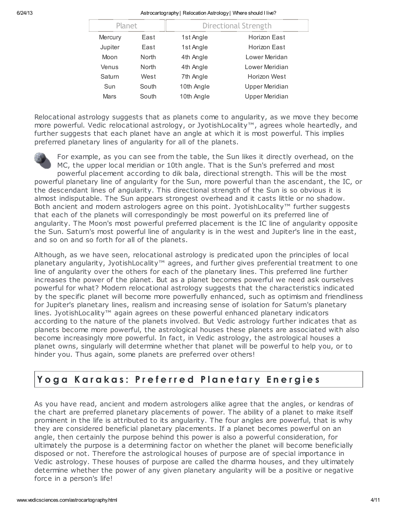| <b>Planet</b> |       | Directional Strength |                       |
|---------------|-------|----------------------|-----------------------|
| Mercury       | East  | 1st Angle            | Horizon East          |
| Jupiter       | East  | 1st Angle            | Horizon Fast          |
| Moon          | North | 4th Angle            | Lower Meridan         |
| Venus         | North | 4th Angle            | I ower Meridian       |
| Saturn        | West  | 7th Angle            | Horizon West          |
| Sun           | South | 10th Angle           | <b>Upper Meridian</b> |
| <b>Mars</b>   | South | 10th Angle           | <b>Upper Meridian</b> |

Relocational astrology suggests that as planets come to angularity, as we move they become more powerful. Vedic relocational astrology, or JyotishLocality™, agrees whole heartedly, and further suggests that each planet have an angle at which it is most powerful. This implies preferred planetary lines of angularity for all of the planets.



and so on and so forth for all of the planets.

For example, as you can see from the table, the Sun likes it directly overhead, on the MC, the upper local meridian or 10th angle. That is the Sun's preferred and most powerful placement according to dik bala, directional strength. This will be the most powerful planetary line of angularity for the Sun, more powerful than the ascendant, the IC, or the descendant lines of angularity. This directional strength of the Sun is so obvious it is almost indisputable. The Sun appears strongest overhead and it casts little or no shadow. Both ancient and modern astrologers agree on this point. JyotishLocality™ further suggests that each of the planets will correspondingly be most powerful on its preferred line of angularity. The Moon's most powerful preferred placement is the IC line of angularity opposite

the Sun. Saturn's most powerful line of angularity is in the west and Jupiter's line in the east,

Although, as we have seen, relocational astrology is predicated upon the principles of local planetary angularity, JyotishLocality™ agrees, and further gives preferential treatment to one line of angularity over the others for each of the planetary lines. This preferred line further increases the power of the planet. But as a planet becomes powerful we need ask ourselves powerful for what? Modern relocational astrology suggests that the characteristics indicated by the specific planet will become more powerfully enhanced, such as optimism and friendliness for Jupiter's planetary lines, realism and increasing sense of isolation for Saturn's planetary lines. JyotishLocality™ again agrees on these powerful enhanced planetary indicators according to the nature of the planets involved. But Vedic astrology further indicates that as planets become more powerful, the astrological houses these planets are associated with also become increasingly more powerful. In fact, in Vedic astrology, the astrological houses a planet owns, singularly will determine whether that planet will be powerful to help you, or to hinder you. Thus again, some planets are preferred over others!

#### Yoga Karakas: Preferred Planetary Energies

As you have read, ancient and modern astrologers alike agree that the angles, or kendras of the chart are preferred planetary placements of power. The ability of a planet to make itself prominent in the life is attributed to its angularity. The four angles are powerful, that is why they are considered beneficial planetary placements. If a planet becomes powerful on an angle, then certainly the purpose behind this power is also a powerful consideration, for ultimately the purpose is a determining factor on whether the planet will become beneficially disposed or not. Therefore the astrological houses of purpose are of special importance in Vedic astrology. These houses of purpose are called the dharma houses, and they ultimately determine whether the power of any given planetary angularity will be a positive or negative force in a person's life!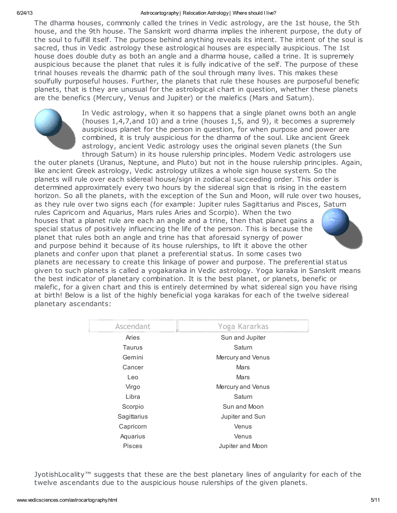The dharma houses, commonly called the trines in Vedic astrology, are the 1st house, the 5th house, and the 9th house. The Sanskrit word dharma implies the inherent purpose, the duty of the soul to fulfill itself. The purpose behind anything reveals its intent. The intent of the soul is sacred, thus in Vedic astrology these astrological houses are especially auspicious. The 1st house does double duty as both an angle and a dharma house, called a trine. It is supremely auspicious because the planet that rules it is fully indicative of the self. The purpose of these trinal houses reveals the dharmic path of the soul through many lives. This makes these soulfully purposeful houses. Further, the planets that rule these houses are purposeful benefic planets, that is they are unusual for the astrological chart in question, whether these planets are the benefics (Mercury, Venus and Jupiter) or the malefics (Mars and Saturn).



In Vedic astrology, when it so happens that a single planet owns both an angle (houses 1,4,7,and 10) and a trine (houses 1,5, and 9), it becomes a supremely auspicious planet for the person in question, for when purpose and power are combined, it is truly auspicious for the dharma of the soul. Like ancient Greek astrology, ancient Vedic astrology uses the original seven planets (the Sun through Saturn) in its house rulership principles. Modern Vedic astrologers use

the outer planets (Uranus, Neptune, and Pluto) but not in the house rulership principles. Again, like ancient Greek astrology, Vedic astrology utilizes a whole sign house system. So the planets will rule over each sidereal house/sign in zodiacal succeeding order. This order is determined approximately every two hours by the sidereal sign that is rising in the eastern horizon. So all the planets, with the exception of the Sun and Moon, will rule over two houses,

as they rule over two signs each (for example: Jupiter rules Sagittarius and Pisces, Saturn rules Capricorn and Aquarius, Mars rules Aries and Scorpio). When the two houses that a planet rule are each an angle and a trine, then that planet gains a special status of positively influencing the life of the person. This is because the planet that rules both an angle and trine has that aforesaid synergy of power and purpose behind it because of its house rulerships, to lift it above the other planets and confer upon that planet a preferential status. In some cases two



planets are necessary to create this linkage of power and purpose. The preferential status given to such planets is called a yogakaraka in Vedic astrology. Yoga karaka in Sanskrit means the best indicator of planetary combination. It is the best planet, or planets, benefic or malefic, for a given chart and this is entirely determined by what sidereal sign you have rising at birth! Below is a list of the highly beneficial yoga karakas for each of the twelve sidereal planetary ascendants:

| Ascendant     | Yoga Kararkas     |
|---------------|-------------------|
| Aries         | Sun and Jupiter   |
| Taurus        | Saturn            |
| Gemini        | Mercury and Venus |
| Cancer        | Mars              |
| Leo           | <b>Mars</b>       |
| Virgo         | Mercury and Venus |
| Libra         | Saturn            |
| Scorpio       | Sun and Moon      |
| Sagittarius   | Jupiter and Sun   |
| Capricorn     | Venus             |
| Aquarius      | Venus             |
| <b>Pisces</b> | Jupiter and Moon  |

JyotishLocality™ suggests that these are the best planetary lines of angularity for each of the twelve ascendants due to the auspicious house rulerships of the given planets.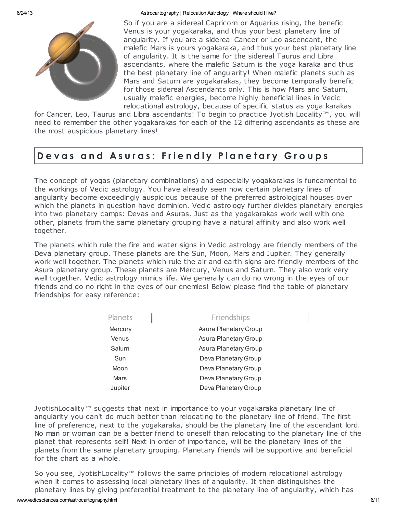So if you are a sidereal Capricorn or Aquarius rising, the benefic Venus is your yogakaraka, and thus your best planetary line of angularity. If you are a sidereal Cancer or Leo ascendant, the malefic Mars is yours yogakaraka, and thus your best planetary line of angularity. It is the same for the sidereal Taurus and Libra ascendants, where the malefic Saturn is the yoga karaka and thus the best planetary line of angularity! When malefic planets such as Mars and Saturn are yogakarakas, they become temporally benefic for those sidereal Ascendants only. This is how Mars and Saturn, usually malefic energies, become highly beneficial lines in Vedic relocational astrology, because of specific status as yoga karakas

for Cancer, Leo, Taurus and Libra ascendants! To begin to practice Jyotish Locality™, you will need to remember the other yogakarakas for each of the 12 differing ascendants as these are the most auspicious planetary lines!

#### Devas and Asuras: Friendly Planetary Groups

The concept of yogas (planetary combinations) and especially yogakarakas is fundamental to the workings of Vedic astrology. You have already seen how certain planetary lines of angularity become exceedingly auspicious because of the preferred astrological houses over which the planets in question have dominion. Vedic astrology further divides planetary energies into two planetary camps: Devas and Asuras. Just as the yogakarakas work well with one other, planets from the same planetary grouping have a natural affinity and also work well together.

The planets which rule the fire and water signs in Vedic astrology are friendly members of the Deva planetary group. These planets are the Sun, Moon, Mars and Jupiter. They generally work well together. The planets which rule the air and earth signs are friendly members of the Asura planetary group. These planets are Mercury, Venus and Saturn. They also work very well together. Vedic astrology mimics life. We generally can do no wrong in the eyes of our friends and do no right in the eyes of our enemies! Below please find the table of planetary friendships for easy reference:

| Planets | Friendships           |
|---------|-----------------------|
| Mercury | Asura Planetary Group |
| Venus   | Asura Planetary Group |
| Saturn  | Asura Planetary Group |
| Sun     | Deva Planetary Group  |
| Moon    | Deva Planetary Group  |
| Mars    | Deva Planetary Group  |
| Jupiter | Deva Planetary Group  |

JyotishLocality™ suggests that next in importance to your yogakaraka planetary line of angularity you can't do much better than relocating to the planetary line of friend. The first line of preference, next to the yogakaraka, should be the planetary line of the ascendant lord. No man or woman can be a better friend to oneself than relocating to the planetary line of the planet that represents self! Next in order of importance, will be the planetary lines of the planets from the same planetary grouping. Planetary friends will be supportive and beneficial for the chart as a whole.

So you see, JyotishLocality™ follows the same principles of modern relocational astrology when it comes to assessing local planetary lines of angularity. It then distinguishes the planetary lines by giving preferential treatment to the planetary line of angularity, which has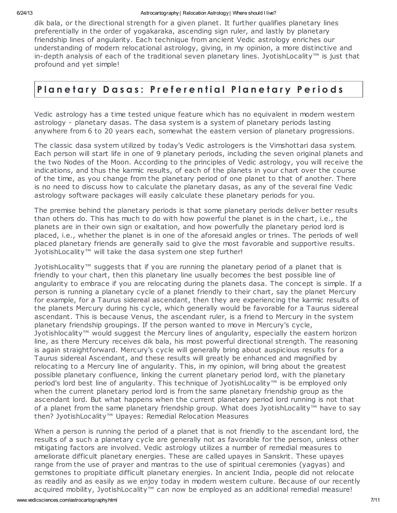dik bala, or the directional strength for a given planet. It further qualifies planetary lines preferentially in the order of yogakaraka, ascending sign ruler, and lastly by planetary friendship lines of angularity. Each technique from ancient Vedic astrology enriches our understanding of modern relocational astrology, giving, in my opinion, a more distinctive and in-depth analysis of each of the traditional seven planetary lines. JyotishLocality™ is just that profound and yet simple!

#### Planetary Dasas: Preferential Planetary Periods

Vedic astrology has a time tested unique feature which has no equivalent in modern western astrology - planetary dasas. The dasa system is a system of planetary periods lasting anywhere from 6 to 20 years each, somewhat the eastern version of planetary progressions.

The classic dasa system utilized by today's Vedic astrologers is the Vimshottari dasa system. Each person will start life in one of 9 planetary periods, including the seven original planets and the two Nodes of the Moon. According to the principles of Vedic astrology, you will receive the indications, and thus the karmic results, of each of the planets in your chart over the course of the time, as you change from the planetary period of one planet to that of another. There is no need to discuss how to calculate the planetary dasas, as any of the several fine Vedic astrology software packages will easily calculate these planetary periods for you.

The premise behind the planetary periods is that some planetary periods deliver better results than others do. This has much to do with how powerful the planet is in the chart, i.e., the planets are in their own sign or exaltation, and how powerfully the planetary period lord is placed, i.e., whether the planet is in one of the aforesaid angles or trines. The periods of well placed planetary friends are generally said to give the most favorable and supportive results. JyotishLocality™ will take the dasa system one step further!

JyotishLocality™ suggests that if you are running the planetary period of a planet that is friendly to your chart, then this planetary line usually becomes the best possible line of angularity to embrace if you are relocating during the planets dasa. The concept is simple. If a person is running a planetary cycle of a planet friendly to their chart, say the planet Mercury for example, for a Taurus sidereal ascendant, then they are experiencing the karmic results of the planets Mercury during his cycle, which generally would be favorable for a Taurus sidereal ascendant. This is because Venus, the ascendant ruler, is a friend to Mercury in the system planetary friendship groupings. If the person wanted to move in Mercury's cycle, Jyotishlocality™ would suggest the Mercury lines of angularity, especially the eastern horizon line, as there Mercury receives dik bala, his most powerful directional strength. The reasoning is again straightforward. Mercury's cycle will generally bring about auspicious results for a Taurus sidereal Ascendant, and these results will greatly be enhanced and magnified by relocating to a Mercury line of angularity. This, in my opinion, will bring about the greatest possible planetary confluence, linking the current planetary period lord, with the planetary period's lord best line of angularity. This technique of JyotishLocality™ is be employed only when the current planetary period lord is from the same planetary friendship group as the ascendant lord. But what happens when the current planetary period lord running is not that of a planet from the same planetary friendship group. What does JyotishLocality™ have to say then? JyotishLocality™ Upayes: Remedial Relocation Measures

When a person is running the period of a planet that is not friendly to the ascendant lord, the results of a such a planetary cycle are generally not as favorable for the person, unless other mitigating factors are involved. Vedic astrology utilizes a number of remedial measures to ameliorate difficult planetary energies. These are called upayes in Sanskrit. These upayes range from the use of prayer and mantras to the use of spiritual ceremonies (yagyas) and gemstones to propitiate difficult planetary energies. In ancient India, people did not relocate as readily and as easily as we enjoy today in modern western culture. Because of our recently acquired mobility, JyotishLocality™ can now be employed as an additional remedial measure!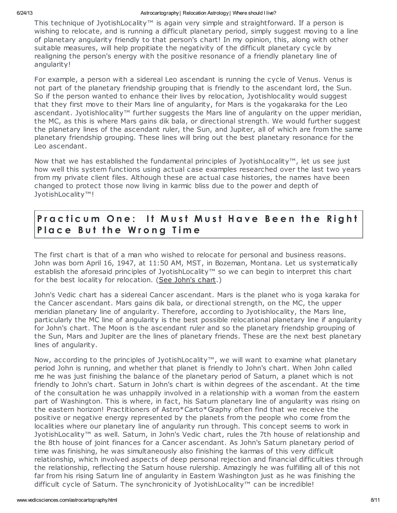This technique of JyotishLocality™ is again very simple and straightforward. If a person is wishing to relocate, and is running a difficult planetary period, simply suggest moving to a line of planetary angularity friendly to that person's chart! In my opinion, this, along with other suitable measures, will help propitiate the negativity of the difficult planetary cycle by realigning the person's energy with the positive resonance of a friendly planetary line of angularity!

For example, a person with a sidereal Leo ascendant is running the cycle of Venus. Venus is not part of the planetary friendship grouping that is friendly to the ascendant lord, the Sun. So if the person wanted to enhance their lives by relocation, Jyotishlocality would suggest that they first move to their Mars line of angularity, for Mars is the yogakaraka for the Leo ascendant. Jyotishlocality™ further suggests the Mars line of angularity on the upper meridian, the MC, as this is where Mars gains dik bala, or directional strength. We would further suggest the planetary lines of the ascendant ruler, the Sun, and Jupiter, all of which are from the same planetary friendship grouping. These lines will bring out the best planetary resonance for the Leo ascendant.

Now that we has established the fundamental principles of JyotishLocality™, let us see just how well this system functions using actual case examples researched over the last two years from my private client files. Although these are actual case histories, the names have been changed to protect those now living in karmic bliss due to the power and depth of JyotishLocality™!

#### Practicum One: It Must Must Have Been the Right Place But the Wrong Time

The first chart is that of a man who wished to relocate for personal and business reasons. John was born April 16, 1947, at 11:50 AM, MST, in Bozeman, Montana. Let us systematically establish the aforesaid principles of JyotishLocality™ so we can begin to interpret this chart for the best locality for relocation. (See [John's](http://www.vedicsciences.com/chart-john.html) chart.)

John's Vedic chart has a sidereal Cancer ascendant. Mars is the planet who is yoga karaka for the Cancer ascendant. Mars gains dik bala, or directional strength, on the MC, the upper meridian planetary line of angularity. Therefore, according to Jyotishlocality, the Mars line, particularly the MC line of angularity is the best possible relocational planetary line if angularity for John's chart. The Moon is the ascendant ruler and so the planetary friendship grouping of the Sun, Mars and Jupiter are the lines of planetary friends. These are the next best planetary lines of angularity.

Now, according to the principles of JyotishLocality™, we will want to examine what planetary period John is running, and whether that planet is friendly to John's chart. When John called me he was just finishing the balance of the planetary period of Saturn, a planet which is not friendly to John's chart. Saturn in John's chart is within degrees of the ascendant. At the time of the consultation he was unhappily involved in a relationship with a woman from the eastern part of Washington. This is where, in fact, his Saturn planetary line of angularity was rising on the eastern horizon! Practitioners of Astro\*Carto\*Graphy often find that we receive the positive or negative energy represented by the planets from the people who come from the localities where our planetary line of angularity run through. This concept seems to work in JyotishLocality™ as well. Saturn, in John's Vedic chart, rules the 7th house of relationship and the 8th house of joint finances for a Cancer ascendant. As John's Saturn planetary period of time was finishing, he was simultaneously also finishing the karmas of this very difficult relationship, which involved aspects of deep personal rejection and financial difficulties through the relationship, reflecting the Saturn house rulership. Amazingly he was fulfilling all of this not far from his rising Saturn line of angularity in Eastern Washington just as he was finishing the difficult cycle of Saturn. The synchronicity of JyotishLocality™ can be incredible!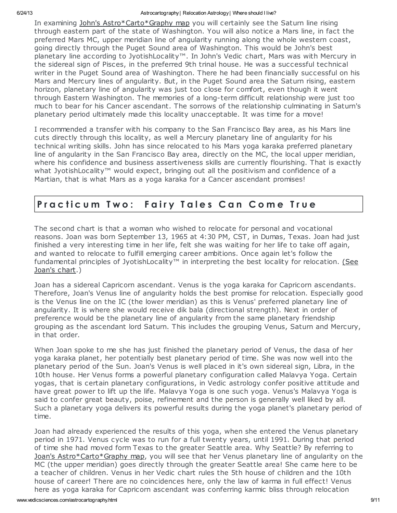In examining John's [Astro\\*Carto\\*Graphy](http://www.vedicsciences.com/chart-john.html) map you will certainly see the Saturn line rising through eastern part of the state of Washington. You will also notice a Mars line, in fact the preferred Mars MC, upper meridian line of angularity running along the whole western coast, going directly through the Puget Sound area of Washington. This would be John's best planetary line according to JyotishLocality™. In John's Vedic chart, Mars was with Mercury in the sidereal sign of Pisces, in the preferred 9th trinal house. He was a successful technical writer in the Puget Sound area of Washington. There he had been financially successful on his Mars and Mercury lines of angularity. But, in the Puget Sound area the Saturn rising, eastern horizon, planetary line of angularity was just too close for comfort, even though it went through Eastern Washington. The memories of a long-term difficult relationship were just too much to bear for his Cancer ascendant. The sorrows of the relationship culminating in Saturn's planetary period ultimately made this locality unacceptable. It was time for a move!

I recommended a transfer with his company to the San Francisco Bay area, as his Mars line cuts directly through this locality, as well a Mercury planetary line of angularity for his technical writing skills. John has since relocated to his Mars yoga karaka preferred planetary line of angularity in the San Francisco Bay area, directly on the MC, the local upper meridian, where his confidence and business assertiveness skills are currently flourishing. That is exactly what JyotishLocality™ would expect, bringing out all the positivism and confidence of a Martian, that is what Mars as a yoga karaka for a Cancer ascendant promises!

#### Practicum Two: Fairy Tales Can Come True

The second chart is that a woman who wished to relocate for personal and vocational reasons. Joan was born September 13, 1965 at 4:30 PM, CST, in Dumas, Texas. Joan had just finished a very interesting time in her life, felt she was waiting for her life to take off again, and wanted to relocate to fulfill emerging career ambitions. Once again let's follow the fundamental principles of [JyotishLocality™](http://www.vedicsciences.com/chart-joan.html) in interpreting the best locality for relocation. (See Joan's chart.)

Joan has a sidereal Capricorn ascendant. Venus is the yoga karaka for Capricorn ascendants. Therefore, Joan's Venus line of angularity holds the best promise for relocation. Especially good is the Venus line on the IC (the lower meridian) as this is Venus' preferred planetary line of angularity. It is where she would receive dik bala (directional strength). Next in order of preference would be the planetary line of angularity from the same planetary friendship grouping as the ascendant lord Saturn. This includes the grouping Venus, Saturn and Mercury, in that order.

When Joan spoke to me she has just finished the planetary period of Venus, the dasa of her yoga karaka planet, her potentially best planetary period of time. She was now well into the planetary period of the Sun. Joan's Venus is well placed in it's own sidereal sign, Libra, in the 10th house. Her Venus forms a powerful planetary configuration called Malavya Yoga. Certain yogas, that is certain planetary configurations, in Vedic astrology confer positive attitude and have great power to lift up the life. Malavya Yoga is one such yoga. Venus's Malavya Yoga is said to confer great beauty, poise, refinement and the person is generally well liked by all. Such a planetary yoga delivers its powerful results during the yoga planet's planetary period of time.

Joan had already experienced the results of this yoga, when she entered the Venus planetary period in 1971. Venus cycle was to run for a full twenty years, until 1991. During that period of time she had moved form Texas to the greater Seattle area. Why Seattle? By referring to Joan's [Astro\\*Carto\\*Graphy](http://www.vedicsciences.com/chart-joan.html) map, you will see that her Venus planetary line of angularity on the MC (the upper meridian) goes directly through the greater Seattle area! She came here to be a teacher of children. Venus in her Vedic chart rules the 5th house of children and the 10th house of career! There are no coincidences here, only the law of karma in full effect! Venus here as yoga karaka for Capricorn ascendant was conferring karmic bliss through relocation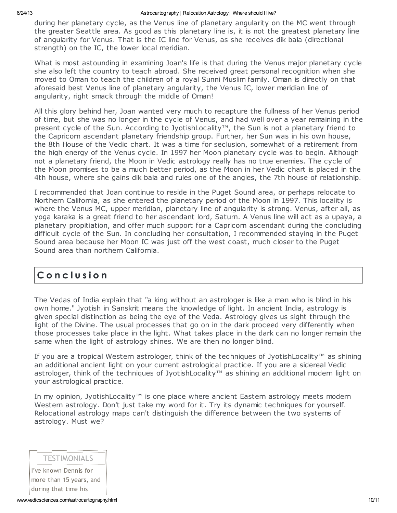during her planetary cycle, as the Venus line of planetary angularity on the MC went through the greater Seattle area. As good as this planetary line is, it is not the greatest planetary line of angularity for Venus. That is the IC line for Venus, as she receives dik bala (directional strength) on the IC, the lower local meridian.

What is most astounding in examining Joan's life is that during the Venus major planetary cycle she also left the country to teach abroad. She received great personal recognition when she moved to Oman to teach the children of a royal Sunni Muslim family. Oman is directly on that aforesaid best Venus line of planetary angularity, the Venus IC, lower meridian line of angularity, right smack through the middle of Oman!

All this glory behind her, Joan wanted very much to recapture the fullness of her Venus period of time, but she was no longer in the cycle of Venus, and had well over a year remaining in the present cycle of the Sun. According to JyotishLocality™, the Sun is not a planetary friend to the Capricorn ascendant planetary friendship group. Further, her Sun was in his own house, the 8th House of the Vedic chart. It was a time for seclusion, somewhat of a retirement from the high energy of the Venus cycle. In 1997 her Moon planetary cycle was to begin. Although not a planetary friend, the Moon in Vedic astrology really has no true enemies. The cycle of the Moon promises to be a much better period, as the Moon in her Vedic chart is placed in the 4th house, where she gains dik bala and rules one of the angles, the 7th house of relationship.

I recommended that Joan continue to reside in the Puget Sound area, or perhaps relocate to Northern California, as she entered the planetary period of the Moon in 1997. This locality is where the Venus MC, upper meridian, planetary line of angularity is strong. Venus, after all, as yoga karaka is a great friend to her ascendant lord, Saturn. A Venus line will act as a upaya, a planetary propitiation, and offer much support for a Capricorn ascendant during the concluding difficult cycle of the Sun. In concluding her consultation, I recommended staying in the Puget Sound area because her Moon IC was just off the west coast, much closer to the Puget Sound area than northern California.

### C o n c l u s i o n

The Vedas of India explain that "a king without an astrologer is like a man who is blind in his own home." Jyotish in Sanskrit means the knowledge of light. In ancient India, astrology is given special distinction as being the eye of the Veda. Astrology gives us sight through the light of the Divine. The usual processes that go on in the dark proceed very differently when those processes take place in the light. What takes place in the dark can no longer remain the same when the light of astrology shines. We are then no longer blind.

If you are a tropical Western astrologer, think of the techniques of JyotishLocality™ as shining an additional ancient light on your current astrological practice. If you are a sidereal Vedic astrologer, think of the techniques of JyotishLocality™ as shining an additional modern light on your astrological practice.

In my opinion, JyotishLocality™ is one place where ancient Eastern astrology meets modern Western astrology. Don't just take my word for it. Try its dynamic techniques for yourself. Relocational astrology maps can't distinguish the difference between the two systems of astrology. Must we?

#### TESTIMONIALS

I've known Dennis for more than 15 years, and during that time his